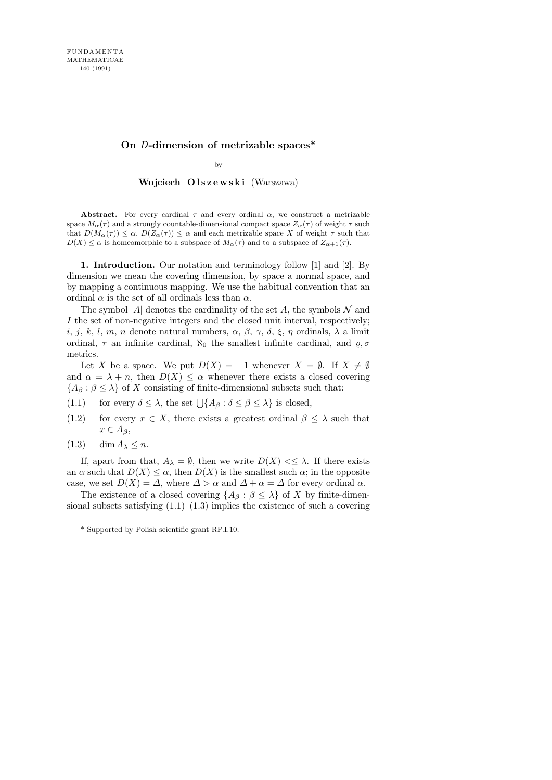## On D-dimension of metrizable spaces\*

by

Wojciech Olszewski (Warszawa)

Abstract. For every cardinal  $\tau$  and every ordinal  $\alpha$ , we construct a metrizable space  $M_{\alpha}(\tau)$  and a strongly countable-dimensional compact space  $Z_{\alpha}(\tau)$  of weight  $\tau$  such that  $D(M_\alpha(\tau)) \leq \alpha$ ,  $D(Z_\alpha(\tau)) \leq \alpha$  and each metrizable space X of weight  $\tau$  such that  $D(X) \leq \alpha$  is homeomorphic to a subspace of  $M_{\alpha}(\tau)$  and to a subspace of  $Z_{\alpha+1}(\tau)$ .

1. Introduction. Our notation and terminology follow [1] and [2]. By dimension we mean the covering dimension, by space a normal space, and by mapping a continuous mapping. We use the habitual convention that an ordinal  $\alpha$  is the set of all ordinals less than  $\alpha$ .

The symbol  $|A|$  denotes the cardinality of the set A, the symbols N and I the set of non-negative integers and the closed unit interval, respectively; i, j, k, l, m, n denote natural numbers,  $\alpha$ ,  $\beta$ ,  $\gamma$ ,  $\delta$ ,  $\xi$ ,  $\eta$  ordinals,  $\lambda$  a limit ordinal,  $\tau$  an infinite cardinal,  $\aleph_0$  the smallest infinite cardinal, and  $\rho$ ,  $\sigma$ metrics.

Let X be a space. We put  $D(X) = -1$  whenever  $X = \emptyset$ . If  $X \neq \emptyset$ and  $\alpha = \lambda + n$ , then  $D(X) \leq \alpha$  whenever there exists a closed covering  ${A<sub>\beta</sub> : \beta \leq \lambda}$  of X consisting of finite-dimensional subsets such that:

- (1.1) for every  $\delta \leq \lambda$ , the set  $\bigcup \{A_\beta : \delta \leq \beta \leq \lambda\}$  is closed,
- (1.2) for every  $x \in X$ , there exists a greatest ordinal  $\beta \leq \lambda$  such that  $x \in A_{\beta}$ ,
- $(1.3)$  dim  $A_{\lambda} \leq n$ .

If, apart from that,  $A_{\lambda} = \emptyset$ , then we write  $D(X) \leq \lambda$ . If there exists an  $\alpha$  such that  $D(X) \leq \alpha$ , then  $D(X)$  is the smallest such  $\alpha$ ; in the opposite case, we set  $D(X) = \Delta$ , where  $\Delta > \alpha$  and  $\Delta + \alpha = \Delta$  for every ordinal  $\alpha$ .

The existence of a closed covering  $\{A_\beta : \beta \leq \lambda\}$  of X by finite-dimensional subsets satisfying  $(1.1)$ – $(1.3)$  implies the existence of such a covering

<sup>\*</sup> Supported by Polish scientific grant RP.I.10.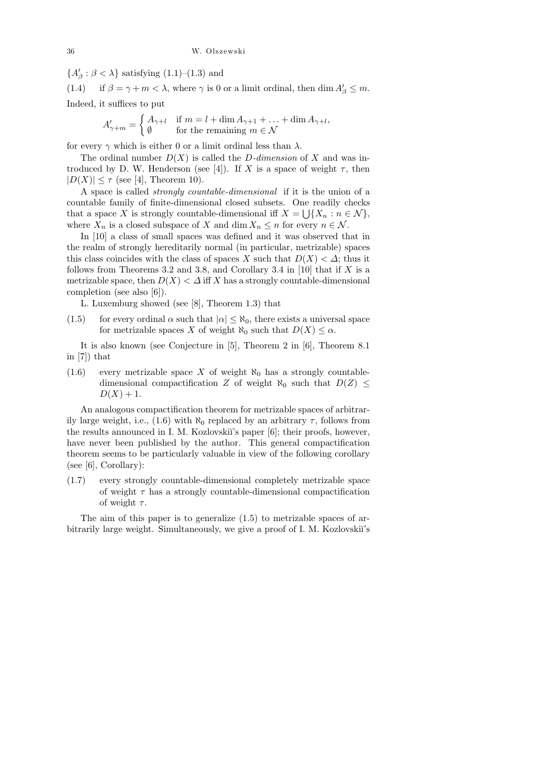${A'_\beta : \beta < \lambda}$  satisfying (1.1)–(1.3) and

(1.4) if  $\beta = \gamma + m < \lambda$ , where  $\gamma$  is 0 or a limit ordinal, then  $\dim A'_{\beta} \leq m$ . Indeed, it suffices to put

$$
A'_{\gamma+m} = \begin{cases} A_{\gamma+l} & \text{if } m = l + \dim A_{\gamma+1} + \ldots + \dim A_{\gamma+l}, \\ \emptyset & \text{for the remaining } m \in \mathcal{N} \end{cases}
$$

for every  $\gamma$  which is either 0 or a limit ordinal less than  $\lambda$ .

The ordinal number  $D(X)$  is called the D-dimension of X and was introduced by D. W. Henderson (see [4]). If X is a space of weight  $\tau$ , then  $|D(X)| \leq \tau$  (see [4], Theorem 10).

A space is called strongly countable-dimensional if it is the union of a countable family of finite-dimensional closed subsets. One readily checks that a space X is strongly countable-dimensional iff  $X = \bigcup \{X_n : n \in \mathcal{N}\},\$ where  $X_n$  is a closed subspace of X and dim  $X_n \leq n$  for every  $n \in \mathcal{N}$ .

In [10] a class of small spaces was defined and it was observed that in the realm of strongly hereditarily normal (in particular, metrizable) spaces this class coincides with the class of spaces X such that  $D(X) < \Delta$ ; thus it follows from Theorems 3.2 and 3.8, and Corollary 3.4 in [10] that if X is a metrizable space, then  $D(X) < \Delta$  iff X has a strongly countable-dimensional completion (see also [6]).

L. Luxemburg showed (see [8], Theorem 1.3) that

(1.5) for every ordinal  $\alpha$  such that  $|\alpha| \leq \aleph_0$ , there exists a universal space for metrizable spaces X of weight  $\aleph_0$  such that  $D(X) \leq \alpha$ .

It is also known (see Conjecture in [5], Theorem 2 in [6], Theorem 8.1 in [7]) that

(1.6) every metrizable space X of weight  $\aleph_0$  has a strongly countabledimensional compactification Z of weight  $\aleph_0$  such that  $D(Z) \leq$  $D(X) + 1.$ 

An analogous compactification theorem for metrizable spaces of arbitrarily large weight, i.e., (1.6) with  $\aleph_0$  replaced by an arbitrary  $\tau$ , follows from the results announced in I. M. Kozlovski<sup>'</sup>s paper [6]; their proofs, however, have never been published by the author. This general compactification theorem seems to be particularly valuable in view of the following corollary (see [6], Corollary):

(1.7) every strongly countable-dimensional completely metrizable space of weight  $\tau$  has a strongly countable-dimensional compactification of weight  $\tau$ .

The aim of this paper is to generalize (1.5) to metrizable spaces of arbitrarily large weight. Simultaneously, we give a proof of I. M. Kozlovski˘ı's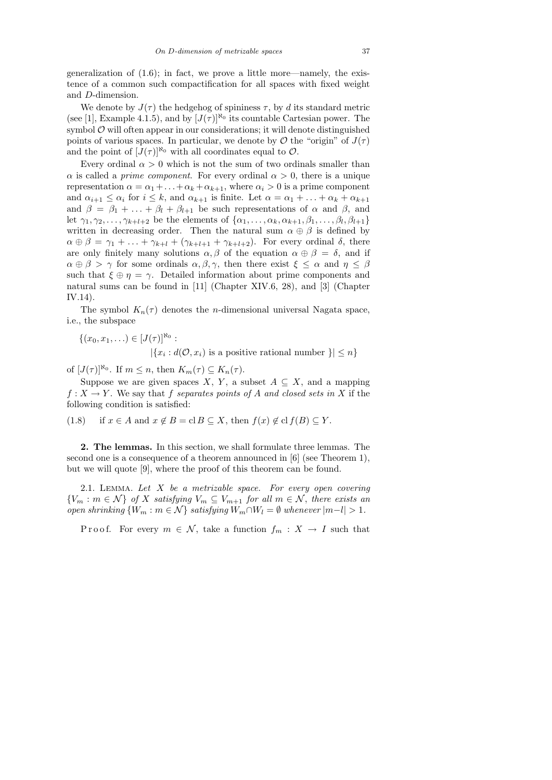generalization of  $(1.6)$ ; in fact, we prove a little more—namely, the existence of a common such compactification for all spaces with fixed weight and D-dimension.

We denote by  $J(\tau)$  the hedgehog of spininess  $\tau$ , by d its standard metric (see [1], Example 4.1.5), and by  $[J(\tau)]^{\aleph_0}$  its countable Cartesian power. The symbol  $\mathcal O$  will often appear in our considerations; it will denote distinguished points of various spaces. In particular, we denote by  $\mathcal O$  the "origin" of  $J(\tau)$ and the point of  $[J(\tau)]^{\aleph_0}$  with all coordinates equal to  $\mathcal{O}$ .

Every ordinal  $\alpha > 0$  which is not the sum of two ordinals smaller than  $\alpha$  is called a *prime component*. For every ordinal  $\alpha > 0$ , there is a unique representation  $\alpha = \alpha_1 + \ldots + \alpha_k + \alpha_{k+1}$ , where  $\alpha_i > 0$  is a prime component and  $\alpha_{i+1} \leq \alpha_i$  for  $i \leq k$ , and  $\alpha_{k+1}$  is finite. Let  $\alpha = \alpha_1 + \ldots + \alpha_k + \alpha_{k+1}$ and  $\beta = \beta_1 + \ldots + \beta_l + \beta_{l+1}$  be such representations of  $\alpha$  and  $\beta$ , and let  $\gamma_1, \gamma_2, \ldots, \gamma_{k+l+2}$  be the elements of  $\{\alpha_1, \ldots, \alpha_k, \alpha_{k+1}, \beta_1, \ldots, \beta_l, \beta_{l+1}\}\$ written in decreasing order. Then the natural sum  $\alpha \oplus \beta$  is defined by  $\alpha \oplus \beta = \gamma_1 + \ldots + \gamma_{k+l} + (\gamma_{k+l+1} + \gamma_{k+l+2})$ . For every ordinal  $\delta$ , there are only finitely many solutions  $\alpha, \beta$  of the equation  $\alpha \oplus \beta = \delta$ , and if  $\alpha \oplus \beta > \gamma$  for some ordinals  $\alpha, \beta, \gamma$ , then there exist  $\xi \leq \alpha$  and  $\eta \leq \beta$ such that  $\xi \oplus \eta = \gamma$ . Detailed information about prime components and natural sums can be found in [11] (Chapter XIV.6, 28), and [3] (Chapter IV.14).

The symbol  $K_n(\tau)$  denotes the *n*-dimensional universal Nagata space, i.e., the subspace

$$
\{(x_0, x_1, \ldots) \in [J(\tau)]^{\aleph_0} : | \{x_i : d(\mathcal{O}, x_i) \text{ is a positive rational number } \}| \le n \}
$$

of  $[J(\tau)]^{\aleph_0}$ . If  $m \leq n$ , then  $K_m(\tau) \subseteq K_n(\tau)$ .

Suppose we are given spaces X, Y, a subset  $A \subseteq X$ , and a mapping  $f: X \to Y$ . We say that f separates points of A and closed sets in X if the following condition is satisfied:

(1.8) if  $x \in A$  and  $x \notin B = \text{cl } B \subseteq X$ , then  $f(x) \notin \text{cl } f(B) \subseteq Y$ .

2. The lemmas. In this section, we shall formulate three lemmas. The second one is a consequence of a theorem announced in [6] (see Theorem 1), but we will quote [9], where the proof of this theorem can be found.

2.1. LEMMA. Let  $X$  be a metrizable space. For every open covering  ${V_m : m \in \mathcal{N}}$  of X satisfying  $V_m \subseteq V_{m+1}$  for all  $m \in \mathcal{N}$ , there exists an open shrinking  $\{W_m : m \in \mathcal{N}\}\$  satisfying  $W_m \cap W_l = \emptyset$  whenever  $|m-l| > 1$ .

Proof. For every  $m \in \mathcal{N}$ , take a function  $f_m : X \to I$  such that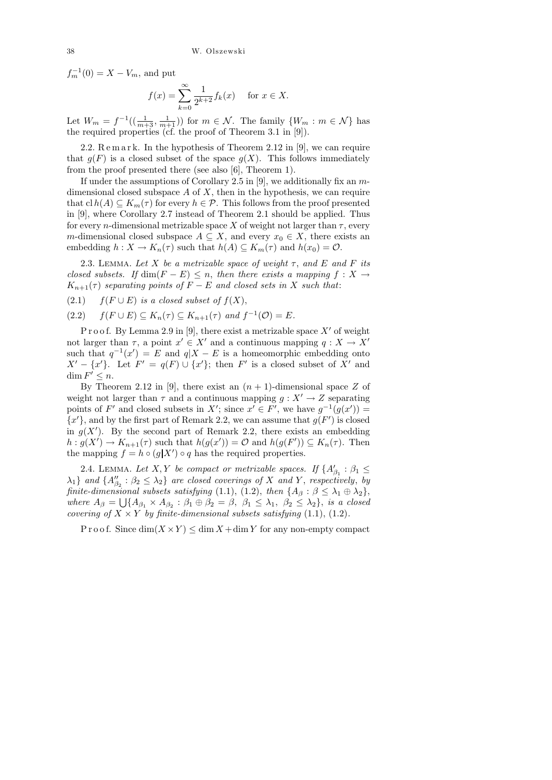$f_m^{-1}(0) = X - V_m$ , and put

$$
f(x) = \sum_{k=0}^{\infty} \frac{1}{2^{k+2}} f_k(x)
$$
 for  $x \in X$ .

Let  $W_m = f^{-1}((\frac{1}{m+3}, \frac{1}{m+1}))$  for  $m \in \mathcal{N}$ . The family  $\{W_m : m \in \mathcal{N}\}\)$  has the required properties (cf. the proof of Theorem 3.1 in [9]).

2.2. Remark. In the hypothesis of Theorem 2.12 in [9], we can require that  $g(F)$  is a closed subset of the space  $g(X)$ . This follows immediately from the proof presented there (see also [6], Theorem 1).

If under the assumptions of Corollary 2.5 in [9], we additionally fix an  $m$ dimensional closed subspace  $A$  of  $X$ , then in the hypothesis, we can require that  $\text{cl } h(A) \subseteq K_m(\tau)$  for every  $h \in \mathcal{P}$ . This follows from the proof presented in [9], where Corollary 2.7 instead of Theorem 2.1 should be applied. Thus for every *n*-dimensional metrizable space X of weight not larger than  $\tau$ , every m-dimensional closed subspace  $A \subseteq X$ , and every  $x_0 \in X$ , there exists an embedding  $h: X \to K_n(\tau)$  such that  $h(A) \subseteq K_m(\tau)$  and  $h(x_0) = \mathcal{O}$ .

2.3. LEMMA. Let X be a metrizable space of weight  $\tau$ , and E and F its closed subsets. If  $\dim(F - E) \leq n$ , then there exists a mapping  $f : X \to Y$  $K_{n+1}(\tau)$  separating points of  $F - E$  and closed sets in X such that:

(2.1)  $f(F \cup E)$  is a closed subset of  $f(X)$ ,

 $(2.2)$   $f(F \cup E) \subseteq K_n(\tau) \subseteq K_{n+1}(\tau)$  and  $f^{-1}(\mathcal{O}) = E$ .

P r o o f. By Lemma 2.9 in [9], there exist a metrizable space  $X'$  of weight not larger than  $\tau$ , a point  $x' \in X'$  and a continuous mapping  $q: X \to X'$ such that  $q^{-1}(x') = E$  and  $q|X - E$  is a homeomorphic embedding onto  $X' - \{x'\}.$  Let  $F' = q(F) \cup \{x'\};$  then F' is a closed subset of X' and  $\dim F' \leq n$ .

By Theorem 2.12 in [9], there exist an  $(n + 1)$ -dimensional space Z of weight not larger than  $\tau$  and a continuous mapping  $g: X' \to Z$  separating points of F' and closed subsets in X'; since  $x' \in F'$ , we have  $g^{-1}(g(x')) =$  ${x'}$ , and by the first part of Remark 2.2, we can assume that  $g(F')$  is closed in  $g(X')$ . By the second part of Remark 2.2, there exists an embedding  $h: g(X') \to K_{n+1}(\tau)$  such that  $h(g(x')) = \mathcal{O}$  and  $h(g(F')) \subseteq K_n(\tau)$ . Then the mapping  $f = h \circ (g|X') \circ q$  has the required properties.

2.4. LEMMA. Let X, Y be compact or metrizable spaces. If  $\{A'_{\beta_1} : \beta_1 \leq$  $\{\lambda_1\}$  and  $\{A_{\beta_2}'' : \beta_2 \leq \lambda_2\}$  are closed coverings of X and Y, respectively, by finite-dimensional subsets satisfying (1.1), (1.2), then  $\{A_\beta : \beta \leq \lambda_1 \oplus \lambda_2\},$ where  $A_{\beta} = \bigcup \{ A_{\beta_1} \times A_{\beta_2} : \beta_1 \oplus \beta_2 = \beta, \ \beta_1 \leq \lambda_1, \ \beta_2 \leq \lambda_2 \},\$ is a closed covering of  $X \times Y$  by finite-dimensional subsets satisfying (1.1), (1.2).

P r o o f. Since  $\dim(X \times Y) \leq \dim X + \dim Y$  for any non-empty compact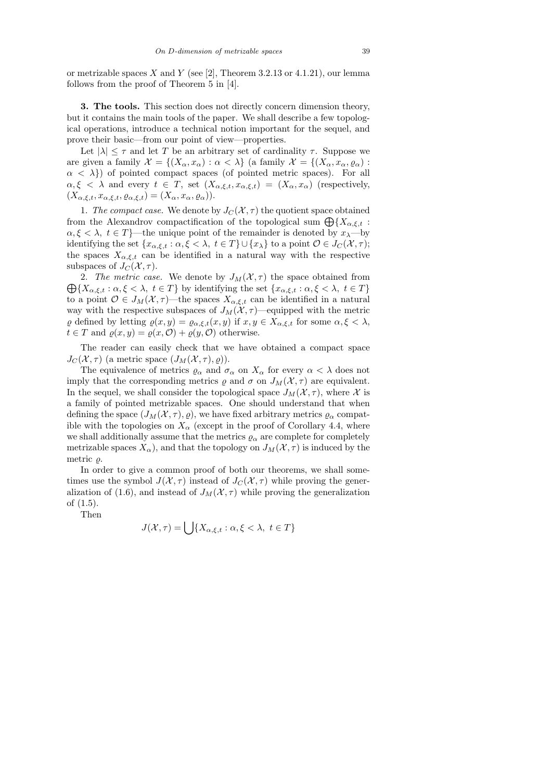or metrizable spaces X and Y (see [2], Theorem 3.2.13 or 4.1.21), our lemma follows from the proof of Theorem 5 in [4].

3. The tools. This section does not directly concern dimension theory, but it contains the main tools of the paper. We shall describe a few topological operations, introduce a technical notion important for the sequel, and prove their basic—from our point of view—properties.

Let  $|\lambda| \leq \tau$  and let T be an arbitrary set of cardinality  $\tau$ . Suppose we are given a family  $\mathcal{X} = \{(X_\alpha, x_\alpha) : \alpha < \lambda\}$  (a family  $\mathcal{X} = \{(X_\alpha, x_\alpha, \varrho_\alpha) : \alpha < \lambda\}$  $\alpha < \lambda$ ) of pointed compact spaces (of pointed metric spaces). For all  $\alpha, \xi \leq \lambda$  and every  $t \in T$ , set  $(X_{\alpha,\xi,t}, x_{\alpha,\xi,t}) = (X_{\alpha}, x_{\alpha})$  (respectively,  $(X_{\alpha,\xi,t},x_{\alpha,\xi,t},\varrho_{\alpha,\xi,t})=(X_{\alpha},x_{\alpha},\varrho_{\alpha})).$ 

1. The compact case. We denote by  $J_C(\mathcal{X}, \tau)$  the quotient space obtained from the Alexandrov compactification of the topological sum  $\bigoplus \{X_{\alpha,\xi,t} :$  $\alpha, \xi < \lambda, t \in T$  – the unique point of the remainder is denoted by  $x_{\lambda}$ —by identifying the set  $\{x_{\alpha,\xi,t} : \alpha, \xi < \lambda, t \in T\} \cup \{x_{\lambda}\}\$ to a point  $\mathcal{O} \in J_{C}(\mathcal{X}, \tau);$ the spaces  $X_{\alpha,\xi,t}$  can be identified in a natural way with the respective subspaces of  $J_C(\mathcal{X}, \tau)$ .

 $\bigoplus \{X_{\alpha,\xi,t}:\alpha,\xi<\lambda, t\in T\}$  by identifying the set  $\{x_{\alpha,\xi,t}:\alpha,\xi<\lambda, t\in T\}$ 2. The metric case. We denote by  $J_M(\mathcal{X}, \tau)$  the space obtained from to a point  $\mathcal{O} \in J_M(\mathcal{X}, \tau)$ —the spaces  $X_{\alpha,\xi,t}$  can be identified in a natural way with the respective subspaces of  $J_M(\mathcal{X}, \tau)$ —equipped with the metric  $\varrho$  defined by letting  $\varrho(x, y) = \varrho_{\alpha, \xi, t}(x, y)$  if  $x, y \in X_{\alpha, \xi, t}$  for some  $\alpha, \xi < \lambda$ ,  $t \in T$  and  $\varrho(x, y) = \varrho(x, \mathcal{O}) + \varrho(y, \mathcal{O})$  otherwise.

The reader can easily check that we have obtained a compact space  $J_C(\mathcal{X}, \tau)$  (a metric space  $(J_M(\mathcal{X}, \tau), \varrho)$ ).

The equivalence of metrics  $\varrho_{\alpha}$  and  $\sigma_{\alpha}$  on  $X_{\alpha}$  for every  $\alpha < \lambda$  does not imply that the corresponding metrics  $\rho$  and  $\sigma$  on  $J_M(\mathcal{X}, \tau)$  are equivalent. In the sequel, we shall consider the topological space  $J_M(\mathcal{X}, \tau)$ , where X is a family of pointed metrizable spaces. One should understand that when defining the space  $(J_M(\mathcal{X},\tau),\varrho)$ , we have fixed arbitrary metrics  $\varrho_\alpha$  compatible with the topologies on  $X_\alpha$  (except in the proof of Corollary 4.4, where we shall additionally assume that the metrics  $\rho_{\alpha}$  are complete for completely metrizable spaces  $X_{\alpha}$ , and that the topology on  $J_M(\mathcal{X}, \tau)$  is induced by the metric  $\rho$ .

In order to give a common proof of both our theorems, we shall sometimes use the symbol  $J(\mathcal{X}, \tau)$  instead of  $J_C(\mathcal{X}, \tau)$  while proving the generalization of (1.6), and instead of  $J_M(\mathcal{X}, \tau)$  while proving the generalization of (1.5).

Then

$$
J(\mathcal{X}, \tau) = \bigcup \{ X_{\alpha, \xi, t} : \alpha, \xi < \lambda, \ t \in T \}
$$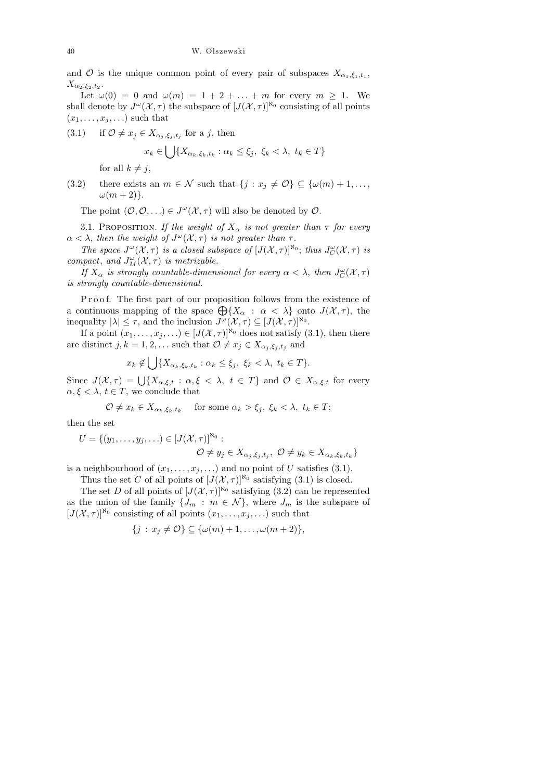and O is the unique common point of every pair of subspaces  $X_{\alpha_1,\xi_1,t_1}$ ,  $X_{\alpha_2,\xi_2,t_2}.$ 

Let  $\omega(0) = 0$  and  $\omega(m) = 1 + 2 + \ldots + m$  for every  $m > 1$ . We shall denote by  $J^{\omega}(\mathcal{X}, \tau)$  the subspace of  $[J(\mathcal{X}, \tau)]^{\aleph_0}$  consisting of all points  $(x_1, \ldots, x_j, \ldots)$  such that

(3.1) if  $\mathcal{O} \neq x_j \in X_{\alpha_j, \xi_j, t_j}$  for a j, then

$$
x_k \in \bigcup \{ X_{\alpha_k, \xi_k, t_k} : \alpha_k \le \xi_j, \ \xi_k < \lambda, \ t_k \in T \}
$$

for all  $k \neq j$ ,

(3.2) there exists an  $m \in \mathcal{N}$  such that  $\{j : x_j \neq \mathcal{O}\} \subseteq \{\omega(m) + 1, \ldots, \}$  $\omega(m+2)$ .

The point  $(0,0,\ldots) \in J^{\omega}(\mathcal{X},\tau)$  will also be denoted by  $\mathcal{O}$ .

3.1. PROPOSITION. If the weight of  $X_{\alpha}$  is not greater than  $\tau$  for every  $\alpha < \lambda$ , then the weight of  $J^{\omega}(\mathcal{X}, \tau)$  is not greater than  $\tau$ .

The space  $J^{\omega}(\mathcal{X}, \tau)$  is a closed subspace of  $[J(\mathcal{X}, \tau)]^{\aleph_0}$ ; thus  $J^{\omega}_C(\mathcal{X}, \tau)$  is compact, and  $J^{\omega}_M(\mathcal{X}, \tau)$  is metrizable.

If  $X_{\alpha}$  is strongly countable-dimensional for every  $\alpha < \lambda$ , then  $J_C^{\omega}(\mathcal{X}, \tau)$ is strongly countable-dimensional.

Proof. The first part of our proposition follows from the existence of a continuous mapping of the space  $\bigoplus \{X_\alpha : \alpha < \lambda\}$  onto  $J(\mathcal{X}, \tau)$ , the inequality  $|\lambda| \leq \tau$ , and the inclusion  $J^{\omega}(\mathcal{X}, \tau) \subseteq [J(\mathcal{X}, \tau)]^{\aleph_0}$ .

If a point  $(x_1, \ldots, x_j, \ldots) \in [J(\mathcal{X}, \tau)]^{\aleph_0}$  does not satisfy  $(3.1)$ , then there are distinct  $j, k = 1, 2, \ldots$  such that  $\mathcal{O} \neq x_j \in X_{\alpha_j, \xi_j, t_j}$  and

$$
x_k \notin \bigcup \{ X_{\alpha_k, \xi_k, t_k} : \alpha_k \le \xi_j, \ \xi_k < \lambda, \ t_k \in T \}.
$$

Since  $J(\mathcal{X}, \tau) = \bigcup \{X_{\alpha,\xi,t} : \alpha, \xi < \lambda, t \in T\}$  and  $\mathcal{O} \in X_{\alpha,\xi,t}$  for every  $\alpha, \xi < \lambda, t \in T$ , we conclude that

$$
\mathcal{O} \neq x_k \in X_{\alpha_k, \xi_k, t_k} \quad \text{ for some } \alpha_k > \xi_j, \ \xi_k < \lambda, \ t_k \in T;
$$

then the set

$$
U = \{(y_1, \ldots, y_j, \ldots) \in [J(\mathcal{X}, \tau)]^{\aleph_0} : \newline \mathcal{O} \neq y_j \in X_{\alpha_j, \xi_j, t_j}, \ \mathcal{O} \neq y_k \in X_{\alpha_k, \xi_k, t_k}\}
$$

is a neighbourhood of  $(x_1, \ldots, x_j, \ldots)$  and no point of U satisfies (3.1).

Thus the set C of all points of  $[J(\mathcal{X}, \tau)]^{\aleph_0}$  satisfying (3.1) is closed.

The set D of all points of  $[J(\mathcal{X}, \tau)]^{\aleph_0}$  satisfying (3.2) can be represented as the union of the family  $\{J_m : m \in \mathcal{N}\}\$ , where  $J_m$  is the subspace of  $[J(\mathcal{X}, \tau)]^{\aleph_0}$  consisting of all points  $(x_1, \ldots, x_j, \ldots)$  such that

$$
\{j\,:\,x_j\neq\mathcal{O}\}\subseteq\{\omega(m)+1,\ldots,\omega(m+2)\},\
$$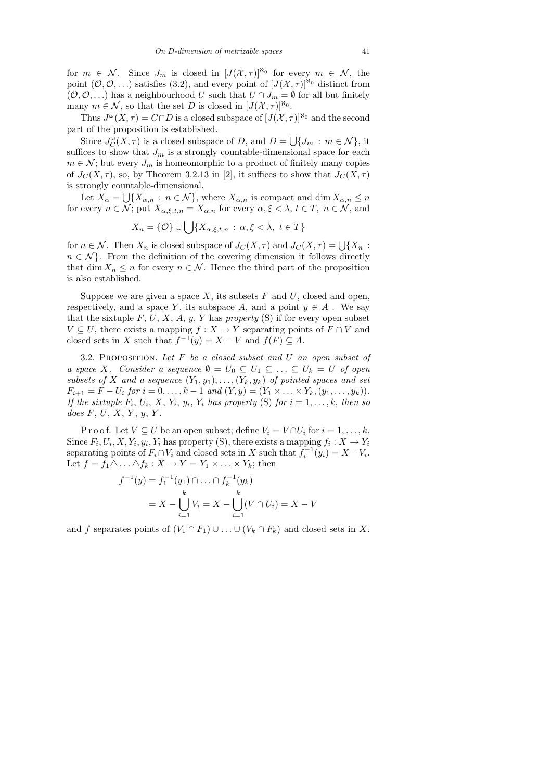for  $m \in \mathcal{N}$ . Since  $J_m$  is closed in  $[J(\mathcal{X}, \tau)]^{\aleph_0}$  for every  $m \in \mathcal{N}$ , the point  $(0,0,\ldots)$  satisfies (3.2), and every point of  $[J(\mathcal{X},\tau)]^{\aleph_0}$  distinct from  $(\mathcal{O}, \mathcal{O}, \ldots)$  has a neighbourhood U such that  $U \cap J_m = \emptyset$  for all but finitely many  $m \in \mathcal{N}$ , so that the set D is closed in  $[J(\mathcal{X}, \tau)]^{\aleph_0}$ .

Thus  $J^{\omega}(X,\tau) = C \cap D$  is a closed subspace of  $[J(\mathcal{X},\tau)]^{\aleph_0}$  and the second part of the proposition is established.

Since  $J_C^{\omega}(X,\tau)$  is a closed subspace of D, and  $D = \bigcup \{J_m : m \in \mathcal{N}\},\$ it suffices to show that  $J_m$  is a strongly countable-dimensional space for each  $m \in \mathcal{N}$ ; but every  $J_m$  is homeomorphic to a product of finitely many copies of  $J_C(X,\tau)$ , so, by Theorem 3.2.13 in [2], it suffices to show that  $J_C(X,\tau)$ is strongly countable-dimensional.

Let  $X_{\alpha} = \bigcup \{X_{\alpha,n} : n \in \mathcal{N}\}\,$ , where  $X_{\alpha,n}$  is compact and  $\dim X_{\alpha,n} \leq n$ for every  $n \in \mathcal{N}$ ; put  $X_{\alpha,\xi,t,n} = X_{\alpha,n}$  for every  $\alpha,\xi < \lambda, t \in T$ ,  $n \in \mathcal{N}$ , and

$$
X_n = \{ \mathcal{O} \} \cup \bigcup \{ X_{\alpha,\xi,t,n} : \alpha, \xi < \lambda, \ t \in T \}
$$

for  $n \in \mathcal{N}$ . Then  $X_n$  is closed subspace of  $J_C(X, \tau)$  and  $J_C(X, \tau) = \bigcup \{X_n : X_n = X \}$  $n \in \mathcal{N}$ . From the definition of the covering dimension it follows directly that dim  $X_n \leq n$  for every  $n \in \mathcal{N}$ . Hence the third part of the proposition is also established.

Suppose we are given a space X, its subsets  $F$  and  $U$ , closed and open, respectively, and a space Y, its subspace A, and a point  $y \in A$ . We say that the sixtuple  $F, U, X, A, y, Y$  has property (S) if for every open subset  $V \subseteq U$ , there exists a mapping  $f : X \to Y$  separating points of  $F \cap V$  and closed sets in X such that  $f^{-1}(y) = X - V$  and  $f(F) \subseteq A$ .

3.2. PROPOSITION. Let  $F$  be a closed subset and  $U$  an open subset of a space X. Consider a sequence  $\emptyset = U_0 \subseteq U_1 \subseteq \ldots \subseteq U_k = U$  of open subsets of X and a sequence  $(Y_1, y_1), \ldots, (Y_k, y_k)$  of pointed spaces and set  $F_{i+1} = F - U_i$  for  $i = 0, ..., k-1$  and  $(Y, y) = (Y_1 \times ... \times Y_k, (y_1, ..., y_k)).$ If the sixtuple  $F_i$ ,  $U_i$ ,  $X$ ,  $Y_i$ ,  $y_i$ ,  $Y_i$  has property (S) for  $i = 1, ..., k$ , then so does  $F, U, X, Y, y, Y$ .

P r o o f. Let  $V \subseteq U$  be an open subset; define  $V_i = V \cap U_i$  for  $i = 1, ..., k$ . Since  $F_i, U_i, X, Y_i, y_i, Y_i$  has property (S), there exists a mapping  $f_i: X \to Y_i$ separating points of  $F_i \cap V_i$  and closed sets in X such that  $f_i^{-1}(y_i) = X - V_i$ . Let  $f = f_1 \triangle \dots \triangle f_k : X \longrightarrow Y = Y_1 \times \dots \times Y_k$ ; then

$$
{}^{-1}(y) = f_1^{-1}(y_1) \cap \ldots \cap f_k^{-1}(y_k)
$$
  
=  $X - \bigcup_{i=1}^k V_i = X - \bigcup_{i=1}^k (V \cap U_i) = X - V$ 

f

and f separates points of  $(V_1 \cap F_1) \cup ... \cup (V_k \cap F_k)$  and closed sets in X.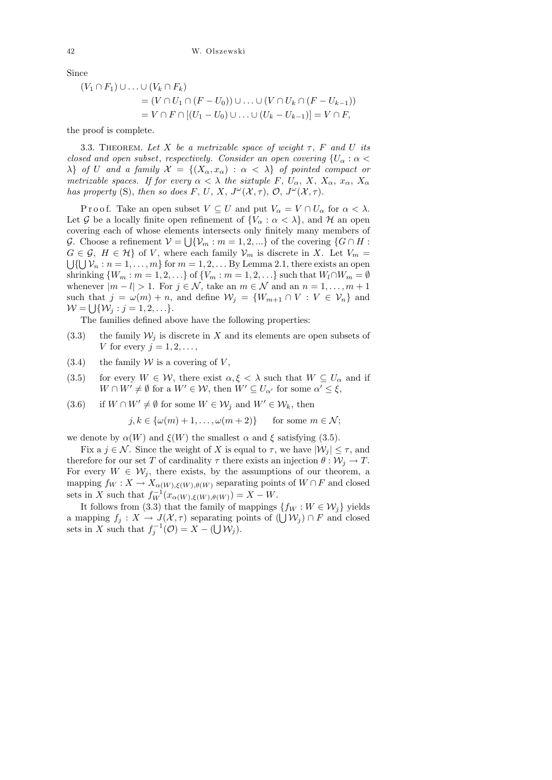Since

$$
(V_1 \cap F_1) \cup \ldots \cup (V_k \cap F_k)
$$
  
=  $(V \cap U_1 \cap (F - U_0)) \cup \ldots \cup (V \cap U_k \cap (F - U_{k-1}))$   
=  $V \cap F \cap [(U_1 - U_0) \cup \ldots \cup (U_k - U_{k-1})] = V \cap F$ ,

the proof is complete.

3.3. THEOREM. Let X be a metrizable space of weight  $\tau$ , F and U its closed and open subset, respectively. Consider an open covering  ${U_\alpha : \alpha <$  $\lambda$  of U and a family  $\mathcal{X} = \{(X_\alpha, x_\alpha) : \alpha < \lambda\}$  of pointed compact or metrizable spaces. If for every  $\alpha < \lambda$  the sixtuple F,  $U_{\alpha}$ ,  $X$ ,  $X_{\alpha}$ ,  $x_{\alpha}$ ,  $X_{\alpha}$ has property (S), then so does F, U, X,  $J^{\omega}(\mathcal{X}, \tau)$ ,  $\mathcal{O}, J^{\omega}(\mathcal{X}, \tau)$ .

P r o o f. Take an open subset  $V \subseteq U$  and put  $V_{\alpha} = V \cap U_{\alpha}$  for  $\alpha < \lambda$ . Let G be a locally finite open refinement of  $\{V_\alpha : \alpha < \lambda\}$ , and H an open covering each of whose elements intersects only finitely many members of G. Choose a refinement  $\mathcal{V} = \bigcup \{ \mathcal{V}_m : m = 1, 2, ...\}$  of the covering  $\{G \cap H :$  $G \in \mathcal{G}, H \in \mathcal{H}$  of V, where each family  $\mathcal{V}_m$  is discrete in X. Let  $V_m =$  $\bigcup \{\bigcup \mathcal{V}_n : n = 1, \ldots, m\}$  for  $m = 1, 2, \ldots$  By Lemma 2.1, there exists an open shrinking  $\{W_m : m = 1, 2, \ldots\}$  of  $\{V_m : m = 1, 2, \ldots\}$  such that  $W_l \cap W_m = \emptyset$ whenever  $|m - l| > 1$ . For  $j \in \mathcal{N}$ , take an  $m \in \mathcal{N}$  and an  $n = 1, ..., m + 1$ such that  $j = \omega(m) + n$ , and define  $\mathcal{W}_j = \{W_{m+1} \cap V : V \in \mathcal{V}_n\}$  and  $\mathcal{W} = \bigcup \{ \mathcal{W}_j : j = 1, 2, \ldots \}.$ 

The families defined above have the following properties:

- (3.3) the family  $\mathcal{W}_j$  is discrete in X and its elements are open subsets of V for every  $j = 1, 2, \ldots$ ,
- $(3.4)$  the family W is a covering of V,
- (3.5) for every  $W \in \mathcal{W}$ , there exist  $\alpha, \xi < \lambda$  such that  $W \subseteq U_{\alpha}$  and if  $W \cap W' \neq \emptyset$  for a  $W' \in \mathcal{W}$ , then  $W' \subseteq U_{\alpha'}$  for some  $\alpha' \leq \xi$ ,
- (3.6) if  $W \cap W' \neq \emptyset$  for some  $W \in \mathcal{W}_j$  and  $W' \in \mathcal{W}_k$ , then

 $j, k \in {\omega(m) + 1, \ldots, \omega(m+2)}$  for some  $m \in \mathcal{N}$ ;

we denote by  $\alpha(W)$  and  $\xi(W)$  the smallest  $\alpha$  and  $\xi$  satisfying (3.5).

Fix a  $j \in \mathcal{N}$ . Since the weight of X is equal to  $\tau$ , we have  $|\mathcal{W}_i| \leq \tau$ , and therefore for our set T of cardinality  $\tau$  there exists an injection  $\theta : \mathcal{W}_i \to T$ . For every  $W \in \mathcal{W}_j$ , there exists, by the assumptions of our theorem, a mapping  $f_W: X \to X_{\alpha(W),\xi(W),\theta(W)}$  separating points of  $W \cap F$  and closed sets in X such that  $f_W^{-1}(x_{\alpha(W),\xi(W),\theta(W)}) = X - W$ .

It follows from (3.3) that the family of mappings  $\{f_W : W \in \mathcal{W}_j\}$  yields a mapping  $f_j: X \to J(X, \tau)$  separating points of  $(\bigcup \mathcal{W}_j) \cap F$  and closed sets in X such that  $f_j^{-1}(\mathcal{O}) = X - (\bigcup \mathcal{W}_j)$ .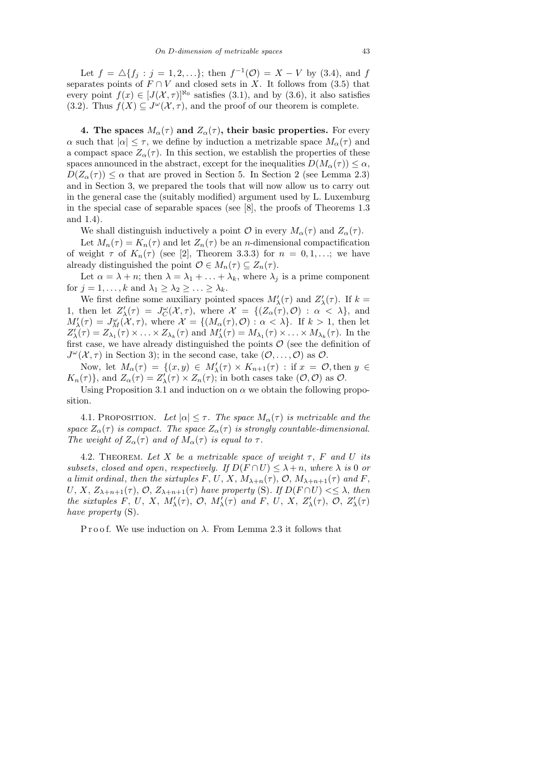Let  $f = \Delta \{f_j : j = 1, 2, ...\}$ ; then  $f^{-1}(\mathcal{O}) = X - V$  by (3.4), and f separates points of  $F \cap V$  and closed sets in X. It follows from (3.5) that every point  $f(x) \in [J(\mathcal{X}, \tau)]^{\aleph_0}$  satisfies (3.1), and by (3.6), it also satisfies (3.2). Thus  $f(X) \subseteq J^{\omega}(\mathcal{X}, \tau)$ , and the proof of our theorem is complete.

4. The spaces  $M_{\alpha}(\tau)$  and  $Z_{\alpha}(\tau)$ , their basic properties. For every  $\alpha$  such that  $|\alpha| \leq \tau$ , we define by induction a metrizable space  $M_{\alpha}(\tau)$  and a compact space  $Z_{\alpha}(\tau)$ . In this section, we establish the properties of these spaces announced in the abstract, except for the inequalities  $D(M_\alpha(\tau)) \leq \alpha$ ,  $D(Z_{\alpha}(\tau)) \leq \alpha$  that are proved in Section 5. In Section 2 (see Lemma 2.3) and in Section 3, we prepared the tools that will now allow us to carry out in the general case the (suitably modified) argument used by L. Luxemburg in the special case of separable spaces (see [8], the proofs of Theorems 1.3 and 1.4).

We shall distinguish inductively a point  $\mathcal O$  in every  $M_{\alpha}(\tau)$  and  $Z_{\alpha}(\tau)$ .

Let  $M_n(\tau) = K_n(\tau)$  and let  $Z_n(\tau)$  be an *n*-dimensional compactification of weight  $\tau$  of  $K_n(\tau)$  (see [2], Theorem 3.3.3) for  $n = 0, 1, \ldots$ ; we have already distinguished the point  $\mathcal{O} \in M_n(\tau) \subseteq Z_n(\tau)$ .

Let  $\alpha = \lambda + n$ ; then  $\lambda = \lambda_1 + \ldots + \lambda_k$ , where  $\lambda_i$  is a prime component for  $j = 1, ..., k$  and  $\lambda_1 \geq \lambda_2 \geq ... \geq \lambda_k$ .

We first define some auxiliary pointed spaces  $M'_{\lambda}(\tau)$  and  $Z'_{\lambda}(\tau)$ . If  $k =$ 1, then let  $Z'_{\lambda}(\tau) = J^{\omega}_{\mathcal{C}}(\mathcal{X}, \tau)$ , where  $\mathcal{X} = \{ (Z_{\alpha}(\tau), \mathcal{O}) : \alpha < \lambda \},\$ and  $M'_{\lambda}(\tau) = J^{\omega}_M(\mathcal{X}, \tau)$ , where  $\mathcal{X} = \{(M_{\alpha}(\tau), \mathcal{O}) : \alpha < \lambda\}$ . If  $k > 1$ , then let  $Z'_{\lambda}(\tau) = Z_{\lambda_1}(\tau) \times \ldots \times Z_{\lambda_k}(\tau)$  and  $M'_{\lambda}(\tau) = M_{\lambda_1}(\tau) \times \ldots \times M_{\lambda_k}(\tau)$ . In the first case, we have already distinguished the points  $\mathcal O$  (see the definition of  $J^{\omega}(\mathcal{X}, \tau)$  in Section 3); in the second case, take  $(\mathcal{O}, \ldots, \mathcal{O})$  as  $\mathcal{O}$ .

Now, let  $M_{\alpha}(\tau) = \{(x, y) \in M'_{\lambda}(\tau) \times K_{n+1}(\tau) : \text{if } x = \mathcal{O}, \text{then } y \in$  $K_n(\tau)$ , and  $Z_\alpha(\tau) = Z'_\lambda(\tau) \times Z_n(\tau)$ ; in both cases take  $(0,0)$  as  $0$ .

Using Proposition 3.1 and induction on  $\alpha$  we obtain the following proposition.

4.1. PROPOSITION. Let  $|\alpha| \leq \tau$ . The space  $M_{\alpha}(\tau)$  is metrizable and the space  $Z_{\alpha}(\tau)$  is compact. The space  $Z_{\alpha}(\tau)$  is strongly countable-dimensional. The weight of  $Z_{\alpha}(\tau)$  and of  $M_{\alpha}(\tau)$  is equal to  $\tau$ .

4.2. THEOREM. Let X be a metrizable space of weight  $\tau$ , F and U its subsets, closed and open, respectively. If  $D(F \cap U) \leq \lambda + n$ , where  $\lambda$  is 0 or a limit ordinal, then the sixtuples F, U, X,  $M_{\lambda+n}(\tau)$ , O,  $M_{\lambda+n+1}(\tau)$  and F, U, X,  $Z_{\lambda+n+1}(\tau)$ , O,  $Z_{\lambda+n+1}(\tau)$  have property (S). If  $D(F \cap U) \leq \lambda$ , then the sixtuples F, U, X,  $M'_{\lambda}(\tau)$ , O,  $M'_{\lambda}(\tau)$  and F, U, X,  $Z'_{\lambda}(\tau)$ , O,  $Z'_{\lambda}(\tau)$ have property  $(S)$ .

P r o o f. We use induction on  $\lambda$ . From Lemma 2.3 it follows that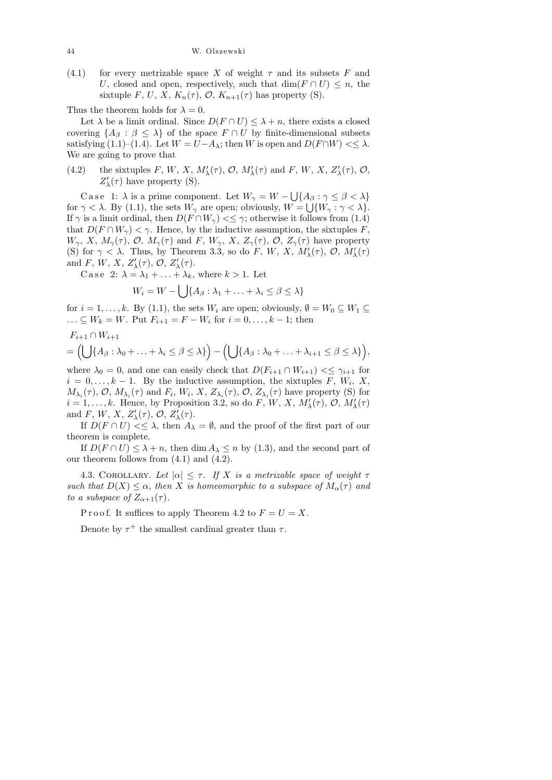44 W. Olszewski

(4.1) for every metrizable space X of weight  $\tau$  and its subsets F and U, closed and open, respectively, such that  $\dim(F \cap U) \leq n$ , the sixtuple F, U, X,  $K_n(\tau)$ , O,  $K_{n+1}(\tau)$  has property (S).

Thus the theorem holds for  $\lambda = 0$ .

Let  $\lambda$  be a limit ordinal. Since  $D(F \cap U) \leq \lambda + n$ , there exists a closed covering  $\{A_\beta : \beta \leq \lambda\}$  of the space  $F \cap U$  by finite-dimensional subsets satisfying (1.1)–(1.4). Let  $W = U - A_\lambda$ ; then W is open and  $D(F \cap W) \leq \lambda$ . We are going to prove that

(4.2) the sixtuples F, W, X,  $M'_{\lambda}(\tau)$ , O,  $M'_{\lambda}(\tau)$  and F, W, X,  $Z'_{\lambda}(\tau)$ , O,  $Z'_\lambda(\tau)$  have property (S).

Case 1:  $\lambda$  is a prime component. Let  $W_{\gamma} = W - \bigcup \{A_{\beta} : \gamma \leq \beta < \lambda\}$ for  $\gamma < \lambda$ . By (1.1), the sets  $W_{\gamma}$  are open; obviously,  $W = \bigcup \{W_{\gamma} : \gamma < \lambda\}.$ If  $\gamma$  is a limit ordinal, then  $D(F \cap W_{\gamma}) \leq \gamma$ ; otherwise it follows from (1.4) that  $D(F \cap W_{\gamma}) < \gamma$ . Hence, by the inductive assumption, the sixtuples F,  $W_{\gamma}$ , X,  $M_{\gamma}(\tau)$ , O,  $M_{\gamma}(\tau)$  and F,  $W_{\gamma}$ , X,  $Z_{\gamma}(\tau)$ , O,  $Z_{\gamma}(\tau)$  have property (S) for  $\gamma < \lambda$ . Thus, by Theorem 3.3, so do F, W, X,  $M'_{\lambda}(\tau)$ , O,  $M'_{\lambda}(\tau)$ and F, W, X,  $Z'_{\lambda}(\tau)$ , O,  $Z'_{\lambda}(\tau)$ .

C a s e 2:  $\lambda = \lambda_1 + \ldots + \lambda_k$ , where  $k > 1$ . Let

$$
W_i = W - \bigcup \{ A_\beta : \lambda_1 + \ldots + \lambda_i \le \beta \le \lambda \}
$$

for  $i = 1, \ldots, k$ . By (1.1), the sets  $W_i$  are open; obviously,  $\emptyset = W_0 \subseteq W_1 \subseteq$ ...  $\subseteq W_k = W$ . Put  $F_{i+1} = F - W_i$  for  $i = 0, ..., k - 1$ ; then

,

$$
F_{i+1} \cap W_{i+1}
$$
  
=  $(\bigcup \{A_{\beta} : \lambda_0 + \ldots + \lambda_i \leq \beta \leq \lambda\}) - (\bigcup \{A_{\beta} : \lambda_0 + \ldots + \lambda_{i+1} \leq \beta \leq \lambda\})$ 

where  $\lambda_0 = 0$ , and one can easily check that  $D(F_{i+1} \cap W_{i+1}) \leq \gamma_{i+1}$  for  $i = 0, \ldots, k - 1$ . By the inductive assumption, the sixtuples F,  $W_i$ , X,  $M_{\lambda_i}(\tau)$ ,  $\mathcal{O}, M_{\lambda_i}(\tau)$  and  $F_i, W_i, X, Z_{\lambda_i}(\tau)$ ,  $\mathcal{O}, Z_{\lambda_i}(\tau)$  have property (S) for  $i = 1, \ldots, k$ . Hence, by Proposition 3.2, so do F, W, X,  $M'_{\lambda}(\tau)$ ,  $\mathcal{O}, M'_{\lambda}(\tau)$ and F, W, X,  $Z'_{\lambda}(\tau)$ , O,  $Z'_{\lambda}(\tau)$ .

If  $D(F \cap U) \leq \lambda$ , then  $A_{\lambda} = \emptyset$ , and the proof of the first part of our theorem is complete.

If  $D(F \cap U) \leq \lambda + n$ , then dim  $A_{\lambda} \leq n$  by (1.3), and the second part of our theorem follows from (4.1) and (4.2).

4.3. COROLLARY. Let  $|\alpha| \leq \tau$ . If X is a metrizable space of weight  $\tau$ such that  $D(X) \leq \alpha$ , then X is homeomorphic to a subspace of  $M_{\alpha}(\tau)$  and to a subspace of  $Z_{\alpha+1}(\tau)$ .

P r o o f. It suffices to apply Theorem 4.2 to  $F = U = X$ .

Denote by  $\tau^+$  the smallest cardinal greater than  $\tau$ .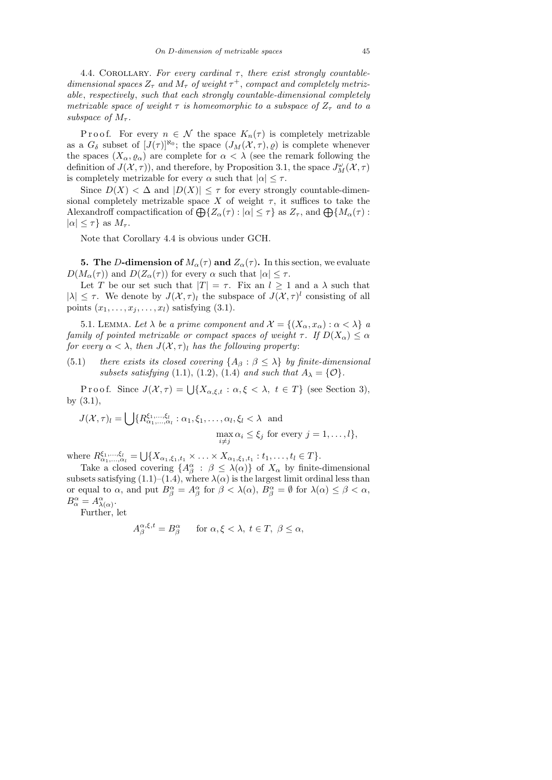4.4. COROLLARY. For every cardinal  $\tau$ , there exist strongly countabledimensional spaces  $Z_{\tau}$  and  $M_{\tau}$  of weight  $\tau^{+}$ , compact and completely metrizable, respectively, such that each strongly countable-dimensional completely metrizable space of weight  $\tau$  is homeomorphic to a subspace of  $Z_{\tau}$  and to a subspace of  $M_{\tau}$ .

P r o o f. For every  $n \in \mathcal{N}$  the space  $K_n(\tau)$  is completely metrizable as a  $G_{\delta}$  subset of  $[J(\tau)]^{\aleph_0}$ ; the space  $(J_M(\mathcal{X}, \tau), \varrho)$  is complete whenever the spaces  $(X_{\alpha}, \varrho_{\alpha})$  are complete for  $\alpha < \lambda$  (see the remark following the definition of  $J(\mathcal{X}, \tau)$ ), and therefore, by Proposition 3.1, the space  $J^{\omega}_M(\mathcal{X}, \tau)$ is completely metrizable for every  $\alpha$  such that  $|\alpha| \leq \tau$ .

Since  $D(X) < \Delta$  and  $|D(X)| \leq \tau$  for every strongly countable-dimensional completely metrizable space X of weight  $\tau$ , it suffices to take the Alexandroff compactification of  $\bigoplus \{Z_\alpha(\tau) : |\alpha| \leq \tau\}$  as  $Z_\tau$ , and  $\bigoplus \{M_\alpha(\tau) :$  $|\alpha| \leq \tau$ } as  $M_{\tau}$ .

Note that Corollary 4.4 is obvious under GCH.

**5.** The D-dimension of  $M_{\alpha}(\tau)$  and  $Z_{\alpha}(\tau)$ . In this section, we evaluate  $D(M_\alpha(\tau))$  and  $D(Z_\alpha(\tau))$  for every  $\alpha$  such that  $|\alpha| \leq \tau$ .

Let T be our set such that  $|T| = \tau$ . Fix an  $l \geq 1$  and a  $\lambda$  such that  $|\lambda| \leq \tau$ . We denote by  $J(\mathcal{X}, \tau)$  the subspace of  $J(\mathcal{X}, \tau)^{l}$  consisting of all points  $(x_1, \ldots, x_j, \ldots, x_l)$  satisfying  $(3.1)$ .

5.1. LEMMA. Let  $\lambda$  be a prime component and  $\mathcal{X} = \{(X_{\alpha}, x_{\alpha}) : \alpha < \lambda\}$  a family of pointed metrizable or compact spaces of weight  $\tau$ . If  $D(X_{\alpha}) \leq \alpha$ for every  $\alpha < \lambda$ , then  $J(\mathcal{X}, \tau)$  has the following property:

(5.1) there exists its closed covering  $\{A_\beta : \beta \leq \lambda\}$  by finite-dimensional subsets satisfying (1.1), (1.2), (1.4) and such that  $A_{\lambda} = \{ \mathcal{O} \}.$ 

Proof. Since  $J(\mathcal{X}, \tau) = \bigcup \{ X_{\alpha,\xi,t} : \alpha, \xi < \lambda, t \in T \}$  (see Section 3), by (3.1),

$$
J(\mathcal{X}, \tau)_l = \bigcup \{ R^{\xi_1, \dots, \xi_l}_{\alpha_1, \dots, \alpha_l} : \alpha_1, \xi_1, \dots, \alpha_l, \xi_l < \lambda \text{ and } \max_{\substack{i \neq j}} \alpha_i \leq \xi_j \text{ for every } j = 1, \dots, l \},\
$$

where  $R_{\alpha_1,...,\alpha_l}^{\xi_1,...,\xi_l} = \bigcup \{X_{\alpha_1,\xi_1,t_1} \times ... \times X_{\alpha_1,\xi_1,t_1} : t_1,...,t_l \in T\}.$ 

Take a closed covering  $\{A_{\beta}^{\alpha} : \beta \leq \lambda(\alpha)\}\$  of  $X_{\alpha}$  by finite-dimensional subsets satisfying (1.1)–(1.4), where  $\lambda(\alpha)$  is the largest limit ordinal less than or equal to  $\alpha$ , and put  $B^{\alpha}_{\beta} = A^{\alpha}_{\beta}$  for  $\beta < \lambda(\alpha)$ ,  $B^{\alpha}_{\beta} = \emptyset$  for  $\lambda(\alpha) \leq \beta < \alpha$ ,  $B^{\alpha}_{\alpha} = A^{\alpha}_{\lambda(\alpha)}$ .

Further, let

$$
A_{\beta}^{\alpha,\xi,t} = B_{\beta}^{\alpha} \quad \text{for } \alpha, \xi < \lambda, \ t \in T, \ \beta \le \alpha,
$$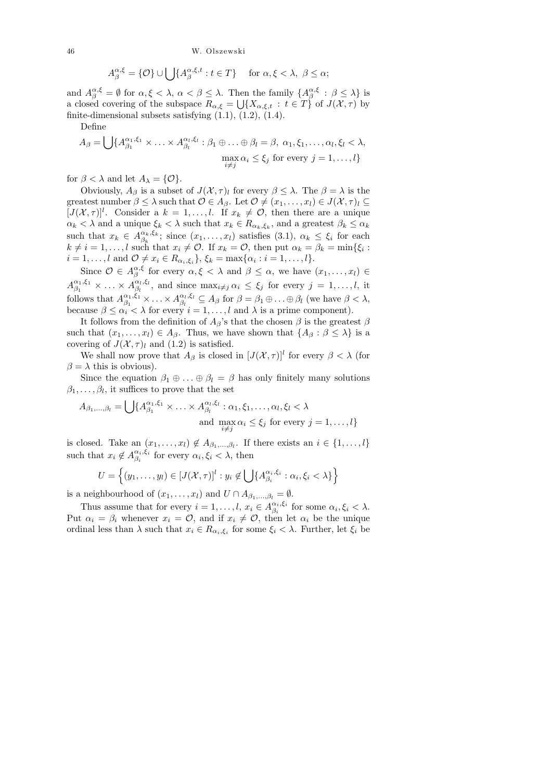46 W. Olszewski

$$
A_{\beta}^{\alpha,\xi} = \{ \mathcal{O} \} \cup \bigcup \{ A_{\beta}^{\alpha,\xi,t} : t \in T \} \quad \text{ for } \alpha, \xi < \lambda, \ \beta \le \alpha;
$$

and  $A_{\beta}^{\alpha,\xi} = \emptyset$  for  $\alpha,\xi < \lambda, \alpha < \beta \leq \lambda$ . Then the family  $\{A_{\beta}^{\alpha,\xi}$  $_{\beta}^{\alpha, \xi}$  :  $\beta \leq \lambda$ } is a closed covering of the subspace  $R_{\alpha,\xi} = \bigcup \{X_{\alpha,\xi,t} : t \in T\}$  of  $J(\mathcal{X},\tau)$  by finite-dimensional subsets satisfying  $(1.1)$ ,  $(1.2)$ ,  $(1.4)$ .

Define

$$
A_{\beta} = \bigcup \{ A_{\beta_1}^{\alpha_1, \xi_1} \times \ldots \times A_{\beta_l}^{\alpha_l, \xi_l} : \beta_1 \oplus \ldots \oplus \beta_l = \beta, \ \alpha_1, \xi_1, \ldots, \alpha_l, \xi_l < \lambda, \\ \max_{i \neq j} \alpha_i \leq \xi_j \ \text{for every} \ j = 1, \ldots, l \}
$$

for  $\beta < \lambda$  and let  $A_{\lambda} = \{ \mathcal{O} \}.$ 

Obviously,  $A_{\beta}$  is a subset of  $J(\mathcal{X}, \tau)$  for every  $\beta \leq \lambda$ . The  $\beta = \lambda$  is the greatest number  $\beta \leq \lambda$  such that  $\mathcal{O} \in A_{\beta}$ . Let  $\mathcal{O} \neq (x_1, \ldots, x_l) \in J(\mathcal{X}, \tau)_l \subseteq$  $[J(\mathcal{X},\tau)]^l$ . Consider a  $k=1,\ldots,l$ . If  $x_k \neq \mathcal{O}$ , then there are a unique  $\alpha_k < \lambda$  and a unique  $\xi_k < \lambda$  such that  $x_k \in R_{\alpha_k,\xi_k}$ , and a greatest  $\beta_k \leq \alpha_k$ such that  $x_k \in A^{\alpha_k,\xi_k}_{\beta_k}$  $\alpha_k, \zeta_k$ ; since  $(x_1, \ldots, x_l)$  satisfies  $(3.1), \alpha_k \leq \xi_i$  for each  $k \neq i = 1, \ldots, l$  such that  $x_i \neq \mathcal{O}$ . If  $x_k = \mathcal{O}$ , then put  $\alpha_k = \beta_k = \min\{\xi_i :$  $i = 1, ..., l$  and  $\mathcal{O} \neq x_i \in R_{\alpha_i, \xi_i}$ ,  $\xi_k = \max\{\alpha_i : i = 1, ..., l\}$ .

Since  $\mathcal{O} \in A^{\alpha,\xi}_{\beta}$  $\alpha, \xi$  for every  $\alpha, \xi < \lambda$  and  $\beta \leq \alpha$ , we have  $(x_1, \ldots, x_l) \in$  $A_{\beta_1}^{\alpha_1,\xi_1}$  $\begin{array}{c} \alpha_1, \xi_1 \ \beta_1 \end{array} \times \ldots \times A^{\alpha_l, \xi_l}_{\beta_l}$  $\beta_l^{\alpha_l,\xi_l}$ , and since  $\max_{i\neq j}\alpha_i \leq \xi_j$  for every  $j=1,\ldots,l$ , it follows that  $A_{\beta_1}^{\alpha_1,\xi_1}$  $\begin{aligned} \begin{array}{c} \alpha_1, \xi_1 \\ \beta_1 \end{array} \times \ldots \times A_{\beta_l}^{\alpha_l, \xi_l} \end{aligned}$  $\beta_l^{\alpha_l,\xi_l} \subseteq A_\beta$  for  $\beta = \beta_1 \oplus \ldots \oplus \beta_l$  (we have  $\beta < \lambda$ , because  $\beta \leq \alpha_i < \lambda$  for every  $i = 1, ..., l$  and  $\lambda$  is a prime component).

It follows from the definition of  $A_{\beta}$ 's that the chosen  $\beta$  is the greatest  $\beta$ such that  $(x_1, \ldots, x_l) \in A_\beta$ . Thus, we have shown that  $\{A_\beta : \beta \leq \lambda\}$  is a covering of  $J(\mathcal{X}, \tau)$ <sub>l</sub> and (1.2) is satisfied.

We shall now prove that  $A_{\beta}$  is closed in  $[J(\mathcal{X}, \tau)]^{l}$  for every  $\beta < \lambda$  (for  $\beta = \lambda$  this is obvious).

Since the equation  $\beta_1 \oplus \ldots \oplus \beta_l = \beta$  has only finitely many solutions  $\beta_1, \ldots, \beta_l$ , it suffices to prove that the set

$$
A_{\beta_1,\dots,\beta_l} = \bigcup \{ A_{\beta_1}^{\alpha_1,\xi_1} \times \dots \times A_{\beta_l}^{\alpha_l,\xi_l} : \alpha_1, \xi_1, \dots, \alpha_l, \xi_l < \lambda
$$
  
and 
$$
\max_{i \neq j} \alpha_i \leq \xi_j \text{ for every } j = 1,\dots,l \}
$$

is closed. Take an  $(x_1, \ldots, x_l) \notin A_{\beta_1, \ldots, \beta_l}$ . If there exists an  $i \in \{1, \ldots, l\}$ such that  $x_i \notin A^{\alpha_i,\xi_i}_{\beta_i}$  $\alpha_i, \xi_i$  for every  $\alpha_i, \xi_i < \lambda$ , then

$$
U = \left\{ (y_1, \ldots, y_l) \in [J(\mathcal{X}, \tau)]^l : y_i \notin \bigcup \{ A_{\beta_i}^{\alpha_i, \xi_i} : \alpha_i, \xi_i < \lambda \} \right\}
$$

is a neighbourhood of  $(x_1, \ldots, x_l)$  and  $U \cap A_{\beta_1, \ldots, \beta_l} = \emptyset$ .

Thus assume that for every  $i = 1, \ldots, l, x_i \in A^{\alpha_i, \xi_i}_{\beta_i}$  $\alpha_i, \xi_i$  for some  $\alpha_i, \xi_i < \lambda$ . Put  $\alpha_i = \beta_i$  whenever  $x_i = \mathcal{O}$ , and if  $x_i \neq \mathcal{O}$ , then let  $\alpha_i$  be the unique ordinal less than  $\lambda$  such that  $x_i \in R_{\alpha_i,\xi_i}$  for some  $\xi_i < \lambda$ . Further, let  $\xi_i$  be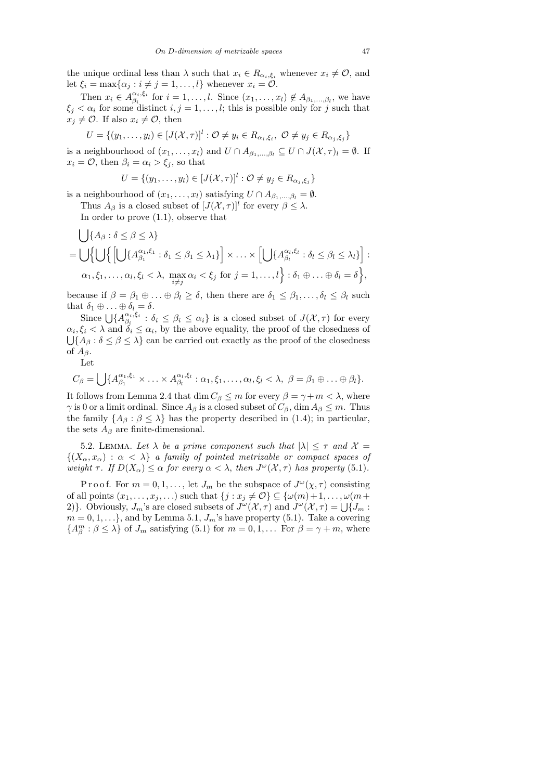the unique ordinal less than  $\lambda$  such that  $x_i \in R_{\alpha_i,\xi_i}$  whenever  $x_i \neq \mathcal{O}$ , and let  $\xi_i = \max\{\alpha_j : i \neq j = 1, \ldots, l\}$  whenever  $x_i = \mathcal{O}$ .

Then  $x_i \in A^{\alpha_i,\xi_i}_{\beta_i}$  $\beta_i^{i_1,i_1}$  for  $i=1,\ldots,l$ . Since  $(x_1,\ldots,x_l) \notin A_{\beta_1,\ldots,\beta_l}$ , we have  $\xi_j < \alpha_i$  for some distinct  $i, j = 1, \ldots, l$ ; this is possible only for j such that  $x_i \neq \mathcal{O}$ . If also  $x_i \neq \mathcal{O}$ , then

$$
U = \{ (y_1, \ldots, y_l) \in [J(\mathcal{X}, \tau)]^l : \mathcal{O} \neq y_i \in R_{\alpha_i, \xi_i}, \ \mathcal{O} \neq y_j \in R_{\alpha_j, \xi_j} \}
$$

is a neighbourhood of  $(x_1, \ldots, x_l)$  and  $U \cap A_{\beta_1, \ldots, \beta_l} \subseteq U \cap J(\mathcal{X}, \tau)_l = \emptyset$ . If  $x_i = \mathcal{O}$ , then  $\beta_i = \alpha_i > \xi_i$ , so that

$$
U = \{(y_1, \ldots, y_l) \in [J(\mathcal{X}, \tau)]^l : \mathcal{O} \neq y_j \in R_{\alpha_j, \xi_j}\}
$$

is a neighbourhood of  $(x_1, \ldots, x_l)$  satisfying  $U \cap A_{\beta_1, \ldots, \beta_l} = \emptyset$ .

Thus  $A_{\beta}$  is a closed subset of  $[J(\mathcal{X}, \tau)]^{l}$  for every  $\beta \leq \lambda$ .

In order to prove (1.1), observe that

$$
\bigcup \{A_{\beta} : \delta \leq \beta \leq \lambda\}
$$
\n
$$
= \bigcup \{ \bigcup \{ \bigcup \{A_{\beta_{1}}^{\alpha_{1}, \xi_{1}} : \delta_{1} \leq \beta_{1} \leq \lambda_{1} \} \big| \times \ldots \times \bigcup \{A_{\beta_{i}}^{\alpha_{i}, \xi_{i}} : \delta_{l} \leq \beta_{l} \leq \lambda_{l} \} \big| \times \ldots \times \alpha_{1}, \xi_{1}, \ldots, \alpha_{l}, \xi_{l} < \lambda, \max_{i \neq j} \alpha_{i} < \xi_{j} \text{ for } j = 1, \ldots, l \} : \delta_{1} \oplus \ldots \oplus \delta_{l} = \delta \},
$$

because if  $\beta = \beta_1 \oplus \ldots \oplus \beta_l \ge \delta$ , then there are  $\delta_1 \le \beta_1, \ldots, \delta_l \le \beta_l$  such that  $\delta_1 \oplus \ldots \oplus \delta_l = \delta$ .

Since  $\bigcup \{A^{\alpha_i,\xi_i}_{\beta_i}\}$  $\beta_i^{a_i, \xi_i}$ :  $\delta_i \leq \beta_i \leq \alpha_i$  is a closed subset of  $J(\mathcal{X}, \tau)$  for every  $\alpha_i, \xi_i < \lambda$  and  $\delta_i \leq \alpha_i$ , by the above equality, the proof of the closedness of  $\bigcup \{A_\beta : \delta \leq \beta \leq \lambda\}$  can be carried out exactly as the proof of the closedness of  $A_\beta$ .

Let

$$
C_{\beta} = \bigcup \{ A_{\beta_1}^{\alpha_1,\xi_1} \times \ldots \times A_{\beta_l}^{\alpha_l,\xi_l} : \alpha_1, \xi_1, \ldots, \alpha_l, \xi_l < \lambda, \ \beta = \beta_1 \oplus \ldots \oplus \beta_l \}.
$$

It follows from Lemma 2.4 that  $\dim C_\beta \leq m$  for every  $\beta = \gamma + m < \lambda$ , where  $\gamma$  is 0 or a limit ordinal. Since  $A_{\beta}$  is a closed subset of  $C_{\beta}$ , dim  $A_{\beta} \leq m$ . Thus the family  $\{A_\beta : \beta \leq \lambda\}$  has the property described in (1.4); in particular, the sets  $A_{\beta}$  are finite-dimensional.

5.2. LEMMA. Let  $\lambda$  be a prime component such that  $|\lambda| \leq \tau$  and  $\mathcal{X} =$  $\{(X_{\alpha}, x_{\alpha}) : \alpha < \lambda\}$  a family of pointed metrizable or compact spaces of weight  $\tau$ . If  $D(X_{\alpha}) \leq \alpha$  for every  $\alpha < \lambda$ , then  $J^{\omega}(\mathcal{X}, \tau)$  has property (5.1).

P r o o f. For  $m = 0, 1, \ldots$ , let  $J_m$  be the subspace of  $J^{\omega}(\chi, \tau)$  consisting of all points  $(x_1, \ldots, x_j, \ldots)$  such that  $\{j : x_j \neq \mathcal{O}\}\subseteq \{\omega(m)+1, \ldots, \omega(m+\mathcal{O})\}$ 2)}. Obviously,  $J_m$ 's are closed subsets of  $J^{\omega}(\mathcal{X}, \tau)$  and  $J^{\omega}(\mathcal{X}, \tau) = \bigcup \{J_m :$  $m = 0, 1, \ldots$ , and by Lemma 5.1,  $J_m$ 's have property (5.1). Take a covering  ${A}_{\beta}^{m}$ :  $\beta \leq \lambda$  of  $J_m$  satisfying (5.1) for  $m = 0, 1, ...$  For  $\beta = \gamma + m$ , where